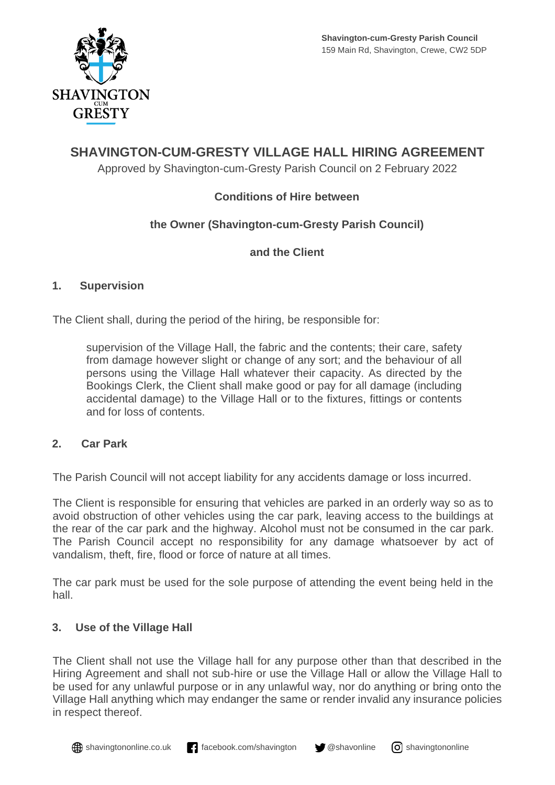

# **SHAVINGTON-CUM-GRESTY VILLAGE HALL HIRING AGREEMENT**

Approved by Shavington-cum-Gresty Parish Council on 2 February 2022

## **Conditions of Hire between**

## **the Owner (Shavington-cum-Gresty Parish Council)**

## **and the Client**

#### **1. Supervision**

The Client shall, during the period of the hiring, be responsible for:

supervision of the Village Hall, the fabric and the contents; their care, safety from damage however slight or change of any sort; and the behaviour of all persons using the Village Hall whatever their capacity. As directed by the Bookings Clerk, the Client shall make good or pay for all damage (including accidental damage) to the Village Hall or to the fixtures, fittings or contents and for loss of contents.

## **2. Car Park**

The Parish Council will not accept liability for any accidents damage or loss incurred.

The Client is responsible for ensuring that vehicles are parked in an orderly way so as to avoid obstruction of other vehicles using the car park, leaving access to the buildings at the rear of the car park and the highway. Alcohol must not be consumed in the car park. The Parish Council accept no responsibility for any damage whatsoever by act of vandalism, theft, fire, flood or force of nature at all times.

The car park must be used for the sole purpose of attending the event being held in the hall.

## **3. Use of the Village Hall**

The Client shall not use the Village hall for any purpose other than that described in the Hiring Agreement and shall not sub-hire or use the Village Hall or allow the Village Hall to be used for any unlawful purpose or in any unlawful way, nor do anything or bring onto the Village Hall anything which may endanger the same or render invalid any insurance policies in respect thereof.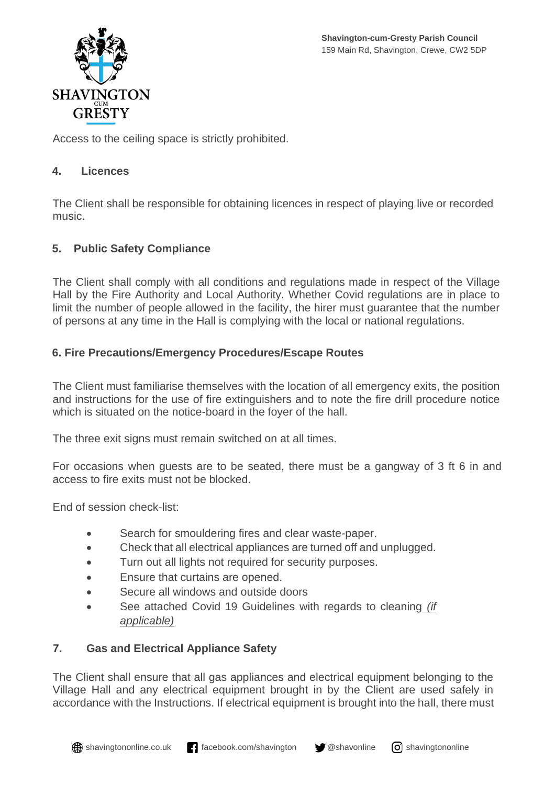

Access to the ceiling space is strictly prohibited.

#### **4. Licences**

The Client shall be responsible for obtaining licences in respect of playing live or recorded music.

## **5. Public Safety Compliance**

The Client shall comply with all conditions and regulations made in respect of the Village Hall by the Fire Authority and Local Authority. Whether Covid regulations are in place to limit the number of people allowed in the facility, the hirer must guarantee that the number of persons at any time in the Hall is complying with the local or national regulations.

## **6. Fire Precautions/Emergency Procedures/Escape Routes**

The Client must familiarise themselves with the location of all emergency exits, the position and instructions for the use of fire extinguishers and to note the fire drill procedure notice which is situated on the notice-board in the foyer of the hall.

The three exit signs must remain switched on at all times.

For occasions when guests are to be seated, there must be a gangway of 3 ft 6 in and access to fire exits must not be blocked.

End of session check-list:

- Search for smouldering fires and clear waste-paper.
- Check that all electrical appliances are turned off and unplugged.
- Turn out all lights not required for security purposes.
- Ensure that curtains are opened.
- Secure all windows and outside doors
- See attached Covid 19 Guidelines with regards to cleaning *(if applicable)*

## **7. Gas and Electrical Appliance Safety**

The Client shall ensure that all gas appliances and electrical equipment belonging to the Village Hall and any electrical equipment brought in by the Client are used safely in accordance with the Instructions. If electrical equipment is brought into the hall, there must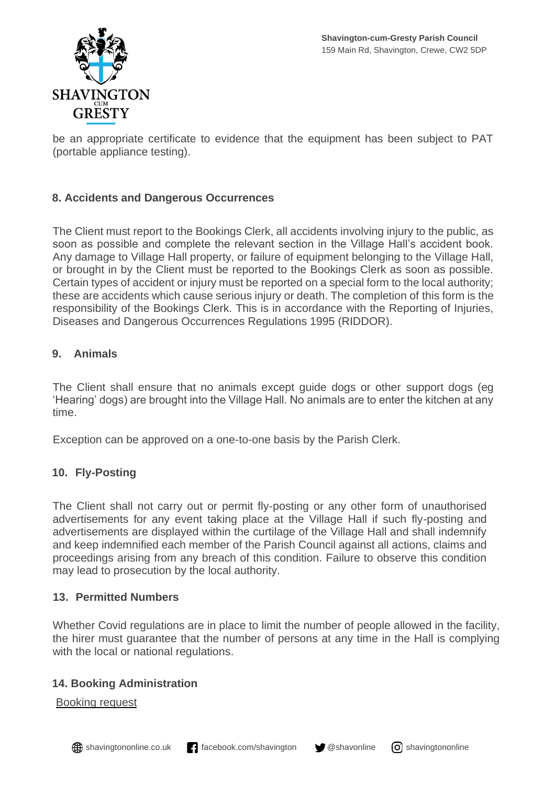

be an appropriate certificate to evidence that the equipment has been subject to PAT (portable appliance testing).

## **8. Accidents and Dangerous Occurrences**

The Client must report to the Bookings Clerk, all accidents involving injury to the public, as soon as possible and complete the relevant section in the Village Hall's accident book. Any damage to Village Hall property, or failure of equipment belonging to the Village Hall, or brought in by the Client must be reported to the Bookings Clerk as soon as possible. Certain types of accident or injury must be reported on a special form to the local authority; these are accidents which cause serious injury or death. The completion of this form is the responsibility of the Bookings Clerk. This is in accordance with the Reporting of Injuries, Diseases and Dangerous Occurrences Regulations 1995 (RIDDOR).

## **9. Animals**

The Client shall ensure that no animals except guide dogs or other support dogs (eg 'Hearing' dogs) are brought into the Village Hall. No animals are to enter the kitchen at any time.

Exception can be approved on a one-to-one basis by the Parish Clerk.

## **10. Fly-Posting**

The Client shall not carry out or permit fly-posting or any other form of unauthorised advertisements for any event taking place at the Village Hall if such fly-posting and advertisements are displayed within the curtilage of the Village Hall and shall indemnify and keep indemnified each member of the Parish Council against all actions, claims and proceedings arising from any breach of this condition. Failure to observe this condition may lead to prosecution by the local authority.

#### **13. Permitted Numbers**

Whether Covid regulations are in place to limit the number of people allowed in the facility, the hirer must guarantee that the number of persons at any time in the Hall is complying with the local or national regulations.

#### **14. Booking Administration**

Booking request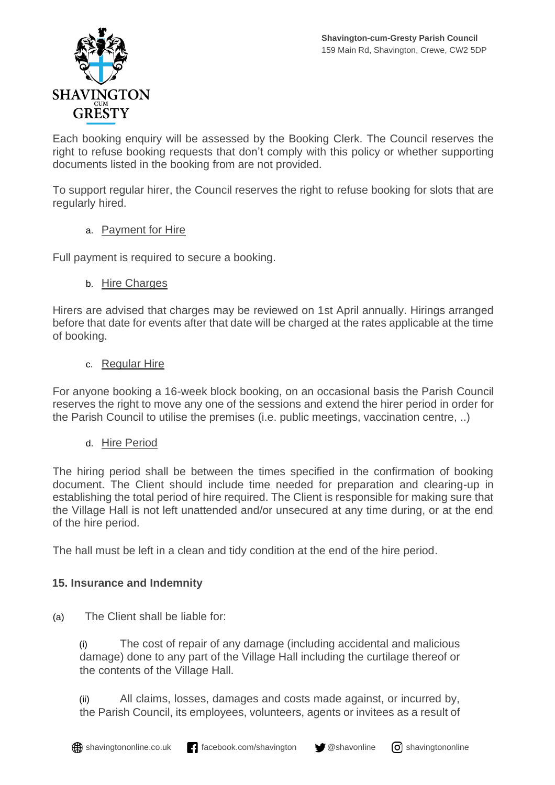

Each booking enquiry will be assessed by the Booking Clerk. The Council reserves the right to refuse booking requests that don't comply with this policy or whether supporting documents listed in the booking from are not provided.

To support regular hirer, the Council reserves the right to refuse booking for slots that are regularly hired.

#### a. Payment for Hire

Full payment is required to secure a booking.

#### b. Hire Charges

Hirers are advised that charges may be reviewed on 1st April annually. Hirings arranged before that date for events after that date will be charged at the rates applicable at the time of booking.

#### c. Regular Hire

For anyone booking a 16-week block booking, on an occasional basis the Parish Council reserves the right to move any one of the sessions and extend the hirer period in order for the Parish Council to utilise the premises (i.e. public meetings, vaccination centre, ..)

#### d. Hire Period

The hiring period shall be between the times specified in the confirmation of booking document. The Client should include time needed for preparation and clearing-up in establishing the total period of hire required. The Client is responsible for making sure that the Village Hall is not left unattended and/or unsecured at any time during, or at the end of the hire period.

The hall must be left in a clean and tidy condition at the end of the hire period.

## **15. Insurance and Indemnity**

(a) The Client shall be liable for:

(i) The cost of repair of any damage (including accidental and malicious damage) done to any part of the Village Hall including the curtilage thereof or the contents of the Village Hall.

(ii) All claims, losses, damages and costs made against, or incurred by, the Parish Council, its employees, volunteers, agents or invitees as a result of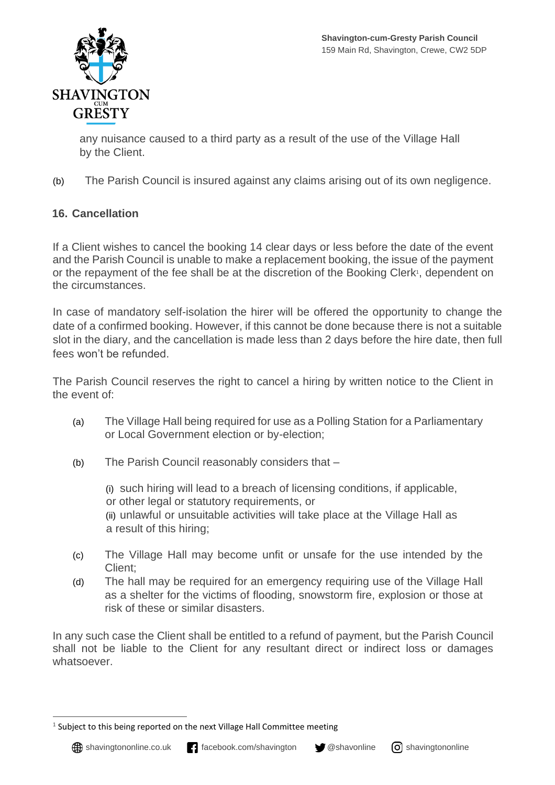

any nuisance caused to a third party as a result of the use of the Village Hall by the Client.

(b) The Parish Council is insured against any claims arising out of its own negligence.

## **16. Cancellation**

If a Client wishes to cancel the booking 14 clear days or less before the date of the event and the Parish Council is unable to make a replacement booking, the issue of the payment or the repayment of the fee shall be at the discretion of the Booking Clerk<sup>1</sup>, dependent on the circumstances.

In case of mandatory self-isolation the hirer will be offered the opportunity to change the date of a confirmed booking. However, if this cannot be done because there is not a suitable slot in the diary, and the cancellation is made less than 2 days before the hire date, then full fees won't be refunded.

The Parish Council reserves the right to cancel a hiring by written notice to the Client in the event of:

- (a) The Village Hall being required for use as a Polling Station for a Parliamentary or Local Government election or by-election;
- (b) The Parish Council reasonably considers that –

(i) such hiring will lead to a breach of licensing conditions, if applicable, or other legal or statutory requirements, or (ii) unlawful or unsuitable activities will take place at the Village Hall as a result of this hiring;

- (c) The Village Hall may become unfit or unsafe for the use intended by the Client:
- (d) The hall may be required for an emergency requiring use of the Village Hall as a shelter for the victims of flooding, snowstorm fire, explosion or those at risk of these or similar disasters.

In any such case the Client shall be entitled to a refund of payment, but the Parish Council shall not be liable to the Client for any resultant direct or indirect loss or damages whatsoever.



 $<sup>1</sup>$  Subject to this being reported on the next Village Hall Committee meeting</sup>